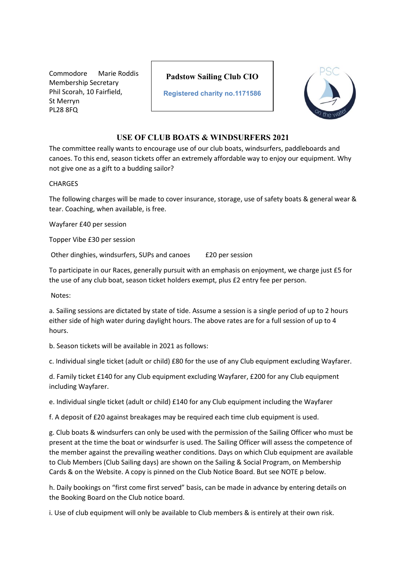Commodore Marie Roddis Membership Secretary Phil Scorah, 10 Fairfield, St Merryn PL28 8FQ

## **Padstow Sailing Club CIO**

**Registered charity no.1171586**



## **USE OF CLUB BOATS & WINDSURFERS 2021**

The committee really wants to encourage use of our club boats, windsurfers, paddleboards and canoes. To this end, season tickets offer an extremely affordable way to enjoy our equipment. Why not give one as a gift to a budding sailor?

## **CHARGES**

The following charges will be made to cover insurance, storage, use of safety boats & general wear & tear. Coaching, when available, is free.

Wayfarer £40 per session

Topper Vibe £30 per session

Other dinghies, windsurfers, SUPs and canoes £20 per session

To participate in our Races, generally pursuit with an emphasis on enjoyment, we charge just £5 for the use of any club boat, season ticket holders exempt, plus £2 entry fee per person.

Notes:

a. Sailing sessions are dictated by state of tide. Assume a session is a single period of up to 2 hours either side of high water during daylight hours. The above rates are for a full session of up to 4 hours.

b. Season tickets will be available in 2021 as follows:

c. Individual single ticket (adult or child) £80 for the use of any Club equipment excluding Wayfarer.

d. Family ticket £140 for any Club equipment excluding Wayfarer, £200 for any Club equipment including Wayfarer.

e. Individual single ticket (adult or child) £140 for any Club equipment including the Wayfarer

f. A deposit of £20 against breakages may be required each time club equipment is used.

g. Club boats & windsurfers can only be used with the permission of the Sailing Officer who must be present at the time the boat or windsurfer is used. The Sailing Officer will assess the competence of the member against the prevailing weather conditions. Days on which Club equipment are available to Club Members (Club Sailing days) are shown on the Sailing & Social Program, on Membership Cards & on the Website. A copy is pinned on the Club Notice Board. But see NOTE p below.

h. Daily bookings on "first come first served" basis, can be made in advance by entering details on the Booking Board on the Club notice board.

i. Use of club equipment will only be available to Club members & is entirely at their own risk.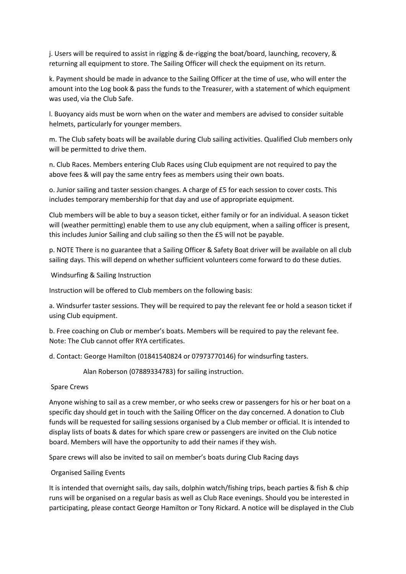j. Users will be required to assist in rigging & de-rigging the boat/board, launching, recovery, & returning all equipment to store. The Sailing Officer will check the equipment on its return.

k. Payment should be made in advance to the Sailing Officer at the time of use, who will enter the amount into the Log book & pass the funds to the Treasurer, with a statement of which equipment was used, via the Club Safe.

l. Buoyancy aids must be worn when on the water and members are advised to consider suitable helmets, particularly for younger members.

m. The Club safety boats will be available during Club sailing activities. Qualified Club members only will be permitted to drive them.

n. Club Races. Members entering Club Races using Club equipment are not required to pay the above fees & will pay the same entry fees as members using their own boats.

o. Junior sailing and taster session changes. A charge of £5 for each session to cover costs. This includes temporary membership for that day and use of appropriate equipment.

Club members will be able to buy a season ticket, either family or for an individual. A season ticket will (weather permitting) enable them to use any club equipment, when a sailing officer is present, this includes Junior Sailing and club sailing so then the £5 will not be payable.

p. NOTE There is no guarantee that a Sailing Officer & Safety Boat driver will be available on all club sailing days. This will depend on whether sufficient volunteers come forward to do these duties.

Windsurfing & Sailing Instruction

Instruction will be offered to Club members on the following basis:

a. Windsurfer taster sessions. They will be required to pay the relevant fee or hold a season ticket if using Club equipment.

b. Free coaching on Club or member's boats. Members will be required to pay the relevant fee. Note: The Club cannot offer RYA certificates.

d. Contact: George Hamilton (01841540824 or 07973770146) for windsurfing tasters.

Alan Roberson (07889334783) for sailing instruction.

Spare Crews

Anyone wishing to sail as a crew member, or who seeks crew or passengers for his or her boat on a specific day should get in touch with the Sailing Officer on the day concerned. A donation to Club funds will be requested for sailing sessions organised by a Club member or official. It is intended to display lists of boats & dates for which spare crew or passengers are invited on the Club notice board. Members will have the opportunity to add their names if they wish.

Spare crews will also be invited to sail on member's boats during Club Racing days

Organised Sailing Events

It is intended that overnight sails, day sails, dolphin watch/fishing trips, beach parties & fish & chip runs will be organised on a regular basis as well as Club Race evenings. Should you be interested in participating, please contact George Hamilton or Tony Rickard. A notice will be displayed in the Club